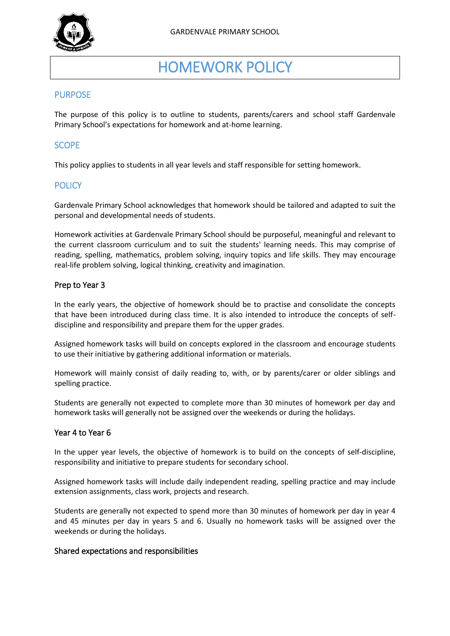

# HOMEWORK POLICY

## **PURPOSE**

The purpose of this policy is to outline to students, parents/carers and school staff Gardenvale Primary School's expectations for homework and at-home learning.

## **SCOPE**

This policy applies to students in all year levels and staff responsible for setting homework.

# **POLICY**

Gardenvale Primary School acknowledges that homework should be tailored and adapted to suit the personal and developmental needs of students.

Homework activities at Gardenvale Primary School should be purposeful, meaningful and relevant to the current classroom curriculum and to suit the students' learning needs. This may comprise of reading, spelling, mathematics, problem solving, inquiry topics and life skills. They may encourage real-life problem solving, logical thinking, creativity and imagination.

#### Prep to Year 3

In the early years, the objective of homework should be to practise and consolidate the concepts that have been introduced during class time. It is also intended to introduce the concepts of selfdiscipline and responsibility and prepare them for the upper grades.

Assigned homework tasks will build on concepts explored in the classroom and encourage students to use their initiative by gathering additional information or materials.

Homework will mainly consist of daily reading to, with, or by parents/carer or older siblings and spelling practice.

Students are generally not expected to complete more than 30 minutes of homework per day and homework tasks will generally not be assigned over the weekends or during the holidays.

#### Year 4 to Year 6

In the upper year levels, the objective of homework is to build on the concepts of self-discipline, responsibility and initiative to prepare students for secondary school.

Assigned homework tasks will include daily independent reading, spelling practice and may include extension assignments, class work, projects and research.

Students are generally not expected to spend more than 30 minutes of homework per day in year 4 and 45 minutes per day in years 5 and 6. Usually no homework tasks will be assigned over the weekends or during the holidays.

#### Shared expectations and responsibilities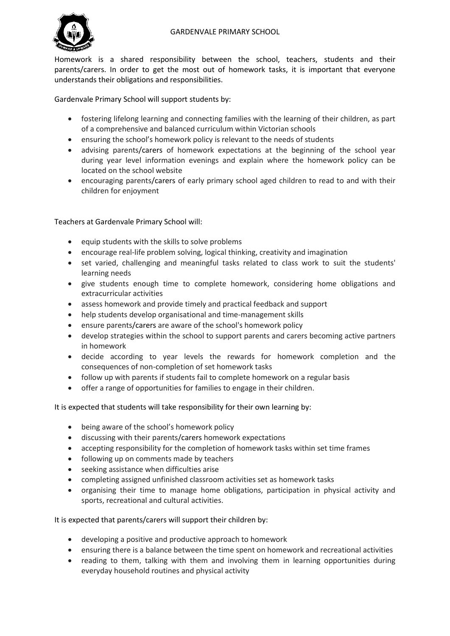

Homework is a shared responsibility between the school, teachers, students and their parents/carers. In order to get the most out of homework tasks, it is important that everyone understands their obligations and responsibilities.

Gardenvale Primary School will support students by:

- fostering lifelong learning and connecting families with the learning of their children, as part of a comprehensive and balanced curriculum within Victorian schools
- ensuring the school's homework policy is relevant to the needs of students
- advising parents/carers of homework expectations at the beginning of the school year during year level information evenings and explain where the homework policy can be located on the school website
- encouraging parents/carers of early primary school aged children to read to and with their children for enjoyment

Teachers at Gardenvale Primary School will:

- equip students with the skills to solve problems
- encourage real-life problem solving, logical thinking, creativity and imagination
- set varied, challenging and meaningful tasks related to class work to suit the students' learning needs
- give students enough time to complete homework, considering home obligations and extracurricular activities
- assess homework and provide timely and practical feedback and support
- help students develop organisational and time-management skills
- ensure parents/carers are aware of the school's homework policy
- develop strategies within the school to support parents and carers becoming active partners in homework
- decide according to year levels the rewards for homework completion and the consequences of non-completion of set homework tasks
- follow up with parents if students fail to complete homework on a regular basis
- offer a range of opportunities for families to engage in their children.

It is expected that students will take responsibility for their own learning by:

- being aware of the school's homework policy
- discussing with their parents/carers homework expectations
- accepting responsibility for the completion of homework tasks within set time frames
- following up on comments made by teachers
- seeking assistance when difficulties arise
- completing assigned unfinished classroom activities set as homework tasks
- organising their time to manage home obligations, participation in physical activity and sports, recreational and cultural activities.

It is expected that parents/carers will support their children by:

- developing a positive and productive approach to homework
- ensuring there is a balance between the time spent on homework and recreational activities
- reading to them, talking with them and involving them in learning opportunities during everyday household routines and physical activity